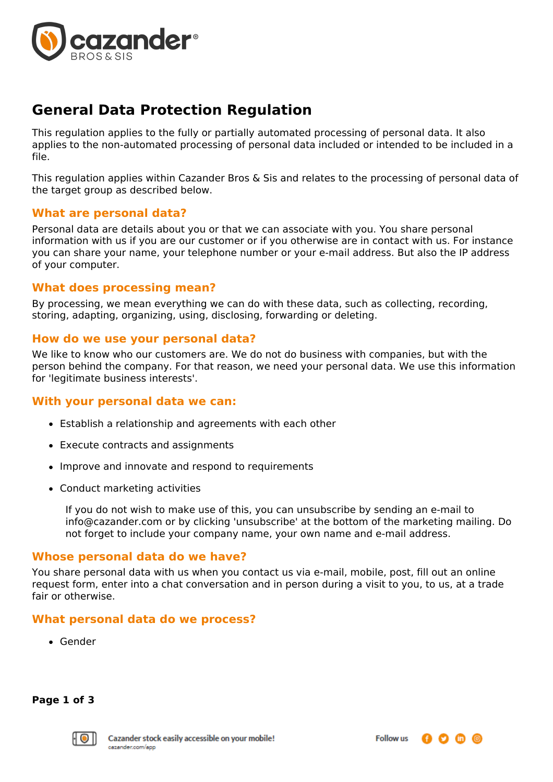

# **General Data Protection Regulation**

This regulation applies to the fully or partially automated processing of personal data. It also applies to the non-automated processing of personal data included or intended to be included in a file.

This regulation applies within Cazander Bros & Sis and relates to the processing of personal data of the target group as described below.

## **What are personal data?**

Personal data are details about you or that we can associate with you. You share personal information with us if you are our customer or if you otherwise are in contact with us. For instance you can share your name, your telephone number or your e-mail address. But also the IP address of your computer.

## **What does processing mean?**

By processing, we mean everything we can do with these data, such as collecting, recording, storing, adapting, organizing, using, disclosing, forwarding or deleting.

## **How do we use your personal data?**

We like to know who our customers are. We do not do business with companies, but with the person behind the company. For that reason, we need your personal data. We use this information for 'legitimate business interests'.

## **With your personal data we can:**

- Establish a relationship and agreements with each other
- Execute contracts and assignments
- Improve and innovate and respond to requirements
- Conduct marketing activities

If you do not wish to make use of this, you can unsubscribe by sending an e-mail to info@cazander.com or by clicking 'unsubscribe' at the bottom of the marketing mailing. Do not forget to include your company name, your own name and e-mail address.

## **Whose personal data do we have?**

You share personal data with us when you contact us via e-mail, mobile, post, fill out an online request form, enter into a chat conversation and in person during a visit to you, to us, at a trade fair or otherwise.

## **What personal data do we process?**

Gender

**Page 1 of 3**

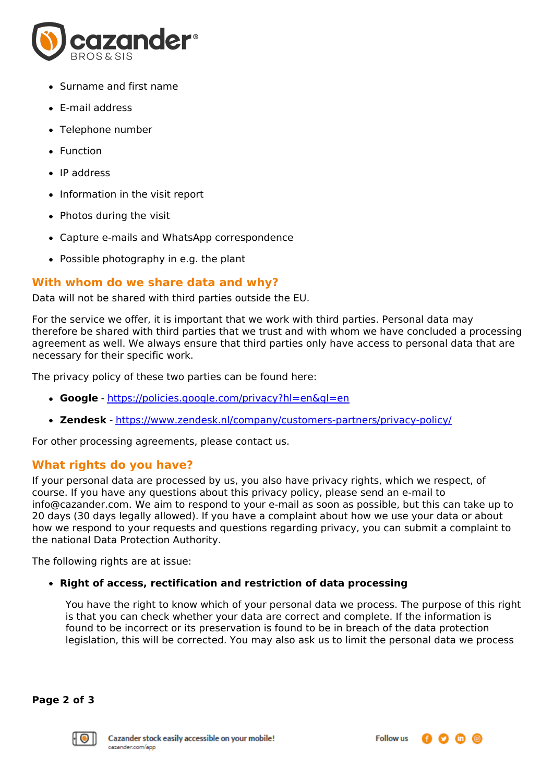

- Surname and first name
- E-mail address
- Telephone number
- Function
- IP address
- Information in the visit report
- Photos during the visit
- Capture e-mails and WhatsApp correspondence
- Possible photography in e.g. the plant

# **With whom do we share data and why?**

Data will not be shared with third parties outside the EU.

For the service we offer, it is important that we work with third parties. Personal data may therefore be shared with third parties that we trust and with whom we have concluded a processing agreement as well. We always ensure that third parties only have access to personal data that are necessary for their specific work.

The privacy policy of these two parties can be found here:

- **Google** <https://policies.google.com/privacy?hl=en&gl=en>
- **Zendesk** <https://www.zendesk.nl/company/customers-partners/privacy-policy/>

For other processing agreements, please contact us.

# **What rights do you have?**

If your personal data are processed by us, you also have privacy rights, which we respect, of course. If you have any questions about this privacy policy, please send an e-mail to info@cazander.com. We aim to respond to your e-mail as soon as possible, but this can take up to 20 days (30 days legally allowed). If you have a complaint about how we use your data or about how we respond to your requests and questions regarding privacy, you can submit a complaint to the national Data Protection Authority.

The following rights are at issue:

## **Right of access, rectification and restriction of data processing**

You have the right to know which of your personal data we process. The purpose of this right is that you can check whether your data are correct and complete. If the information is found to be incorrect or its preservation is found to be in breach of the data protection legislation, this will be corrected. You may also ask us to limit the personal data we process

**Page 2 of 3**